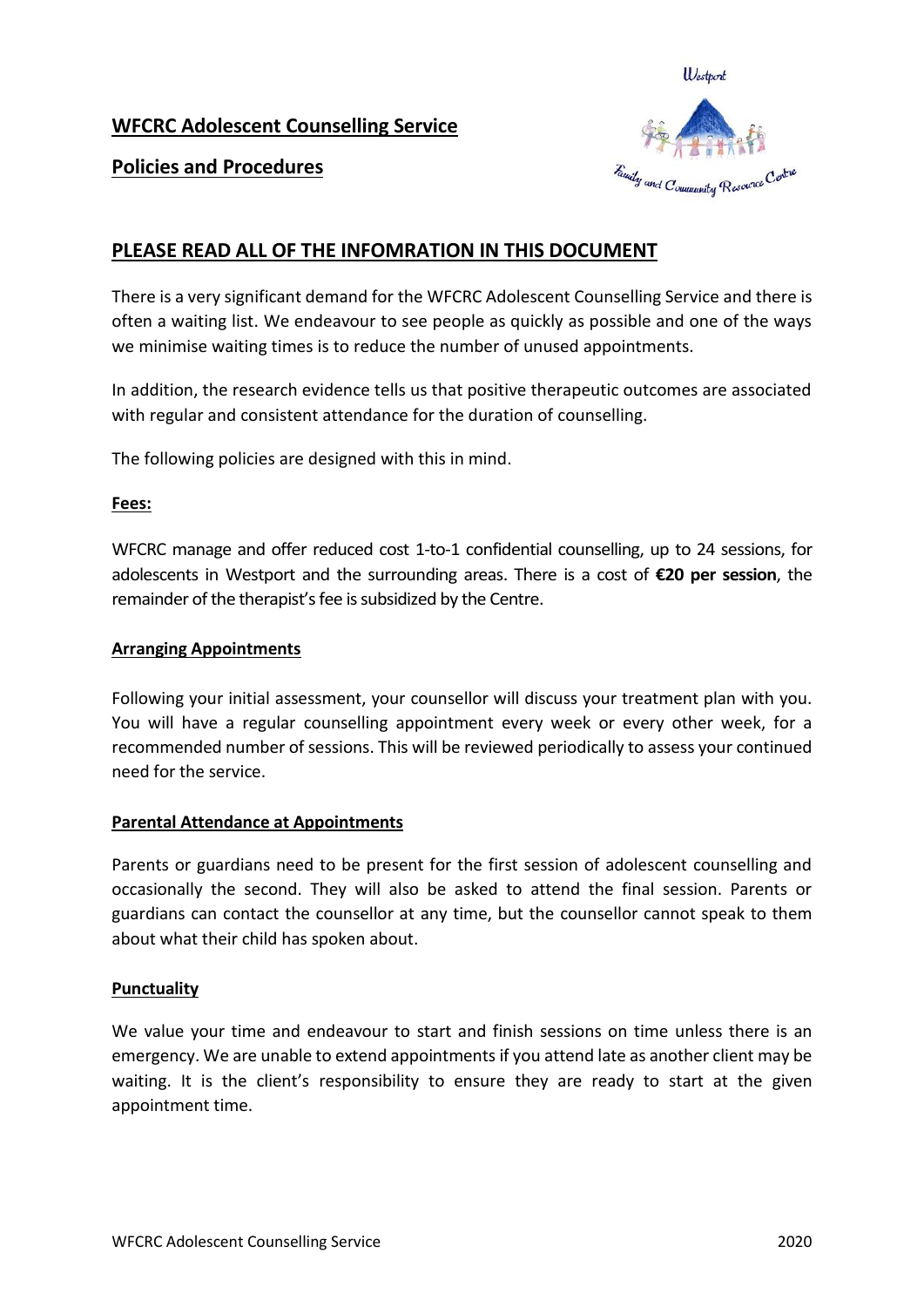# **WFCRC Adolescent Counselling Service**



# **Policies and Procedures**

# **PLEASE READ ALL OF THE INFOMRATION IN THIS DOCUMENT**

There is a very significant demand for the WFCRC Adolescent Counselling Service and there is often a waiting list. We endeavour to see people as quickly as possible and one of the ways we minimise waiting times is to reduce the number of unused appointments.

In addition, the research evidence tells us that positive therapeutic outcomes are associated with regular and consistent attendance for the duration of counselling.

The following policies are designed with this in mind.

### **Fees:**

WFCRC manage and offer reduced cost 1-to-1 confidential counselling, up to 24 sessions, for adolescents in Westport and the surrounding areas. There is a cost of **€20 per session**, the remainder of the therapist's fee is subsidized by the Centre.

### **Arranging Appointments**

Following your initial assessment, your counsellor will discuss your treatment plan with you. You will have a regular counselling appointment every week or every other week, for a recommended number of sessions. This will be reviewed periodically to assess your continued need for the service.

### **Parental Attendance at Appointments**

Parents or guardians need to be present for the first session of adolescent counselling and occasionally the second. They will also be asked to attend the final session. Parents or guardians can contact the counsellor at any time, but the counsellor cannot speak to them about what their child has spoken about.

### **Punctuality**

We value your time and endeavour to start and finish sessions on time unless there is an emergency. We are unable to extend appointments if you attend late as another client may be waiting. It is the client's responsibility to ensure they are ready to start at the given appointment time.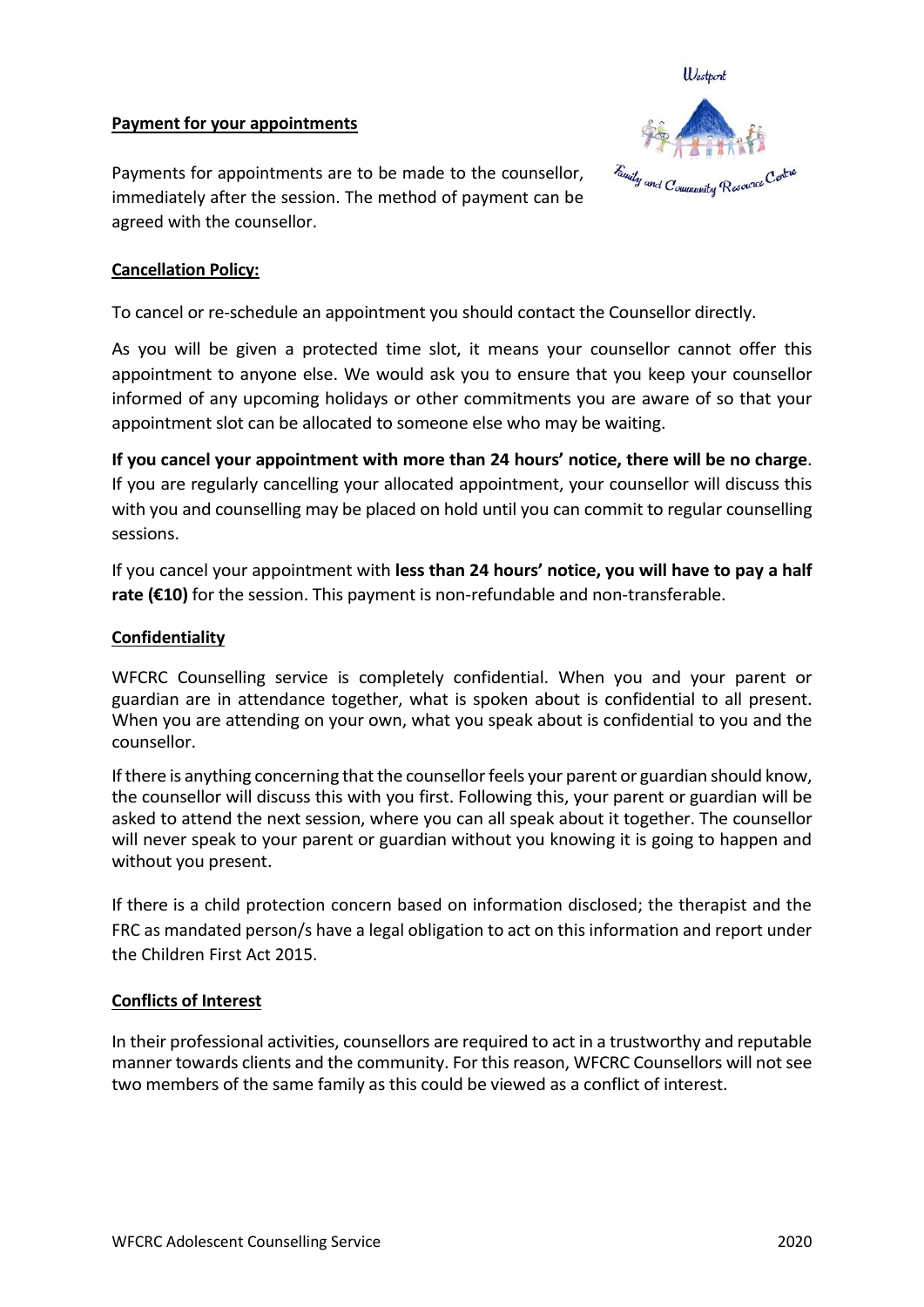### **Payment for your appointments**



Payments for appointments are to be made to the counsellor, immediately after the session. The method of payment can be agreed with the counsellor.

### **Cancellation Policy:**

To cancel or re-schedule an appointment you should contact the Counsellor directly.

As you will be given a protected time slot, it means your counsellor cannot offer this appointment to anyone else. We would ask you to ensure that you keep your counsellor informed of any upcoming holidays or other commitments you are aware of so that your appointment slot can be allocated to someone else who may be waiting.

**If you cancel your appointment with more than 24 hours' notice, there will be no charge**. If you are regularly cancelling your allocated appointment, your counsellor will discuss this with you and counselling may be placed on hold until you can commit to regular counselling sessions.

If you cancel your appointment with **less than 24 hours' notice, you will have to pay a half rate (€10)** for the session. This payment is non-refundable and non-transferable.

### **Confidentiality**

WFCRC Counselling service is completely confidential. When you and your parent or guardian are in attendance together, what is spoken about is confidential to all present. When you are attending on your own, what you speak about is confidential to you and the counsellor.

If there is anything concerning that the counsellor feels your parent or guardian should know, the counsellor will discuss this with you first. Following this, your parent or guardian will be asked to attend the next session, where you can all speak about it together. The counsellor will never speak to your parent or guardian without you knowing it is going to happen and without you present.

If there is a child protection concern based on information disclosed; the therapist and the FRC as mandated person/s have a legal obligation to act on this information and report under the Children First Act 2015.

### **Conflicts of Interest**

In their professional activities, counsellors are required to act in a trustworthy and reputable manner towards clients and the community. For this reason, WFCRC Counsellors will notsee two members of the same family as this could be viewed as a conflict of interest.